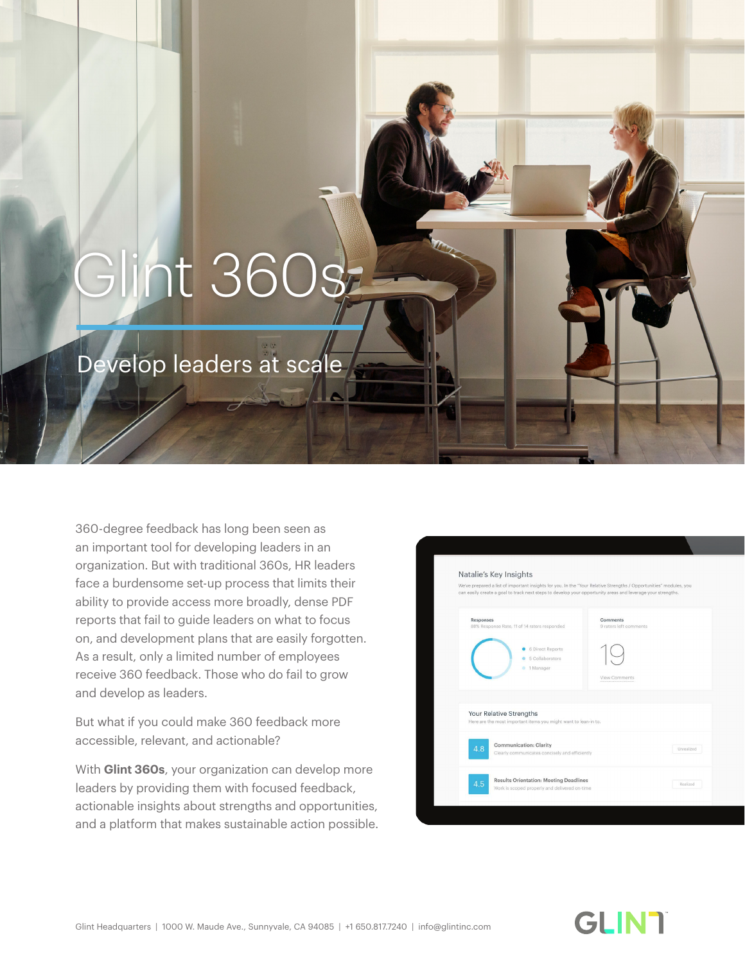# Glint 360s

Develop leaders at scale

360-degree feedback has long been seen as an important tool for developing leaders in an organization. But with traditional 360s, HR leaders face a burdensome set-up process that limits their ability to provide access more broadly, dense PDF reports that fail to guide leaders on what to focus on, and development plans that are easily forgotten. As a result, only a limited number of employees receive 360 feedback. Those who do fail to grow and develop as leaders.

But what if you could make 360 feedback more accessible, relevant, and actionable?

With **Glint 360s**, your organization can develop more leaders by providing them with focused feedback, actionable insights about strengths and opportunities, and a platform that makes sustainable action possible.

#### Natalie's Key Insights

.<br>Ve prepared a list of important insights for you. In the "Your Relative Strengths / Opportunities" m^ .<br>Isily create a goal to track next steps to develop your opportunity areas and leverage your strengths.



GLIN'